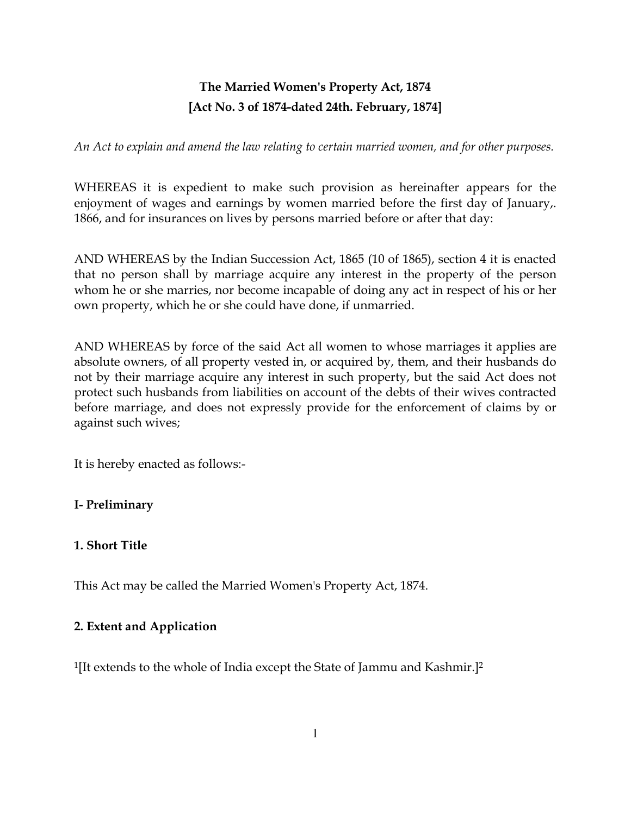# The Married Women's Property Act, 1874 [Act No. 3 of 1874-dated 24th. February, 1874]

An Act to explain and amend the law relating to certain married women, and for other purposes.

WHEREAS it is expedient to make such provision as hereinafter appears for the enjoyment of wages and earnings by women married before the first day of January,. 1866, and for insurances on lives by persons married before or after that day:

AND WHEREAS by the Indian Succession Act, 1865 (10 of 1865), section 4 it is enacted that no person shall by marriage acquire any interest in the property of the person whom he or she marries, nor become incapable of doing any act in respect of his or her own property, which he or she could have done, if unmarried.

AND WHEREAS by force of the said Act all women to whose marriages it applies are absolute owners, of all property vested in, or acquired by, them, and their husbands do not by their marriage acquire any interest in such property, but the said Act does not protect such husbands from liabilities on account of the debts of their wives contracted before marriage, and does not expressly provide for the enforcement of claims by or against such wives;

It is hereby enacted as follows:-

### I- Preliminary

#### 1. Short Title

This Act may be called the Married Women's Property Act, 1874.

#### 2. Extent and Application

<sup>1</sup>[It extends to the whole of India except the State of Jammu and Kashmir.]<sup>2</sup>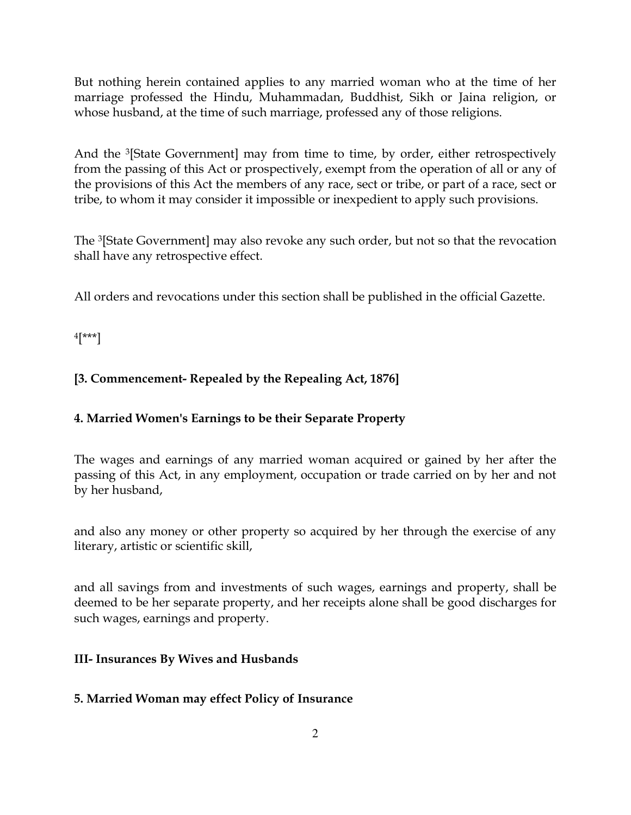But nothing herein contained applies to any married woman who at the time of her marriage professed the Hindu, Muhammadan, Buddhist, Sikh or Jaina religion, or whose husband, at the time of such marriage, professed any of those religions.

And the <sup>3</sup>[State Government] may from time to time, by order, either retrospectively from the passing of this Act or prospectively, exempt from the operation of all or any of the provisions of this Act the members of any race, sect or tribe, or part of a race, sect or tribe, to whom it may consider it impossible or inexpedient to apply such provisions.

The <sup>3</sup>[State Government] may also revoke any such order, but not so that the revocation shall have any retrospective effect.

All orders and revocations under this section shall be published in the official Gazette.

 $4$ [\*\*\*]

# [3. Commencement- Repealed by the Repealing Act, 1876]

# 4. Married Women's Earnings to be their Separate Property

The wages and earnings of any married woman acquired or gained by her after the passing of this Act, in any employment, occupation or trade carried on by her and not by her husband,

and also any money or other property so acquired by her through the exercise of any literary, artistic or scientific skill,

and all savings from and investments of such wages, earnings and property, shall be deemed to be her separate property, and her receipts alone shall be good discharges for such wages, earnings and property.

## III- Insurances By Wives and Husbands

## 5. Married Woman may effect Policy of Insurance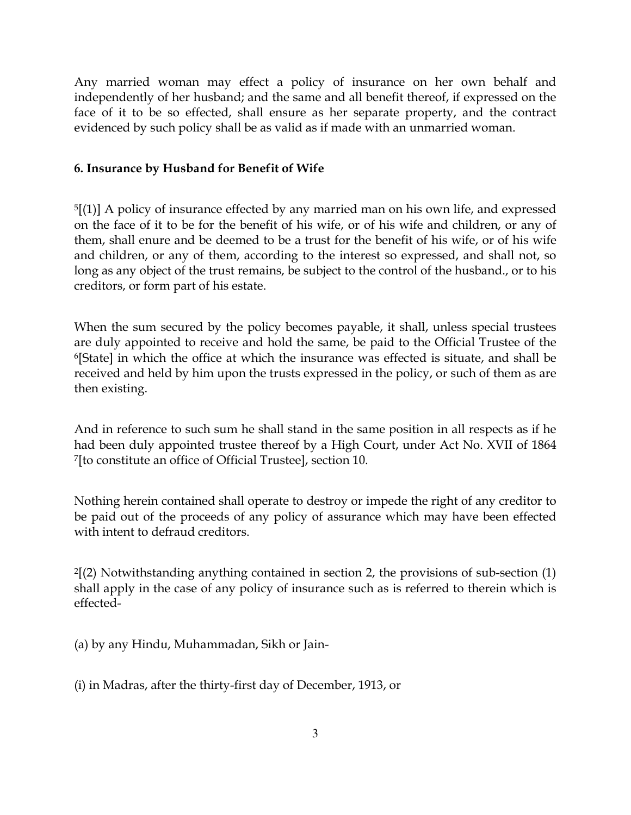Any married woman may effect a policy of insurance on her own behalf and independently of her husband; and the same and all benefit thereof, if expressed on the face of it to be so effected, shall ensure as her separate property, and the contract evidenced by such policy shall be as valid as if made with an unmarried woman.

### 6. Insurance by Husband for Benefit of Wife

 $5$ [(1)] A policy of insurance effected by any married man on his own life, and expressed on the face of it to be for the benefit of his wife, or of his wife and children, or any of them, shall enure and be deemed to be a trust for the benefit of his wife, or of his wife and children, or any of them, according to the interest so expressed, and shall not, so long as any object of the trust remains, be subject to the control of the husband., or to his creditors, or form part of his estate.

When the sum secured by the policy becomes payable, it shall, unless special trustees are duly appointed to receive and hold the same, be paid to the Official Trustee of the <sup>6</sup>[State] in which the office at which the insurance was effected is situate, and shall be received and held by him upon the trusts expressed in the policy, or such of them as are then existing.

And in reference to such sum he shall stand in the same position in all respects as if he had been duly appointed trustee thereof by a High Court, under Act No. XVII of 1864 <sup>7</sup>[to constitute an office of Official Trustee], section 10.

Nothing herein contained shall operate to destroy or impede the right of any creditor to be paid out of the proceeds of any policy of assurance which may have been effected with intent to defraud creditors.

 $2(2)$  Notwithstanding anything contained in section 2, the provisions of sub-section  $(1)$ shall apply in the case of any policy of insurance such as is referred to therein which is effected-

(a) by any Hindu, Muhammadan, Sikh or Jain-

(i) in Madras, after the thirty-first day of December, 1913, or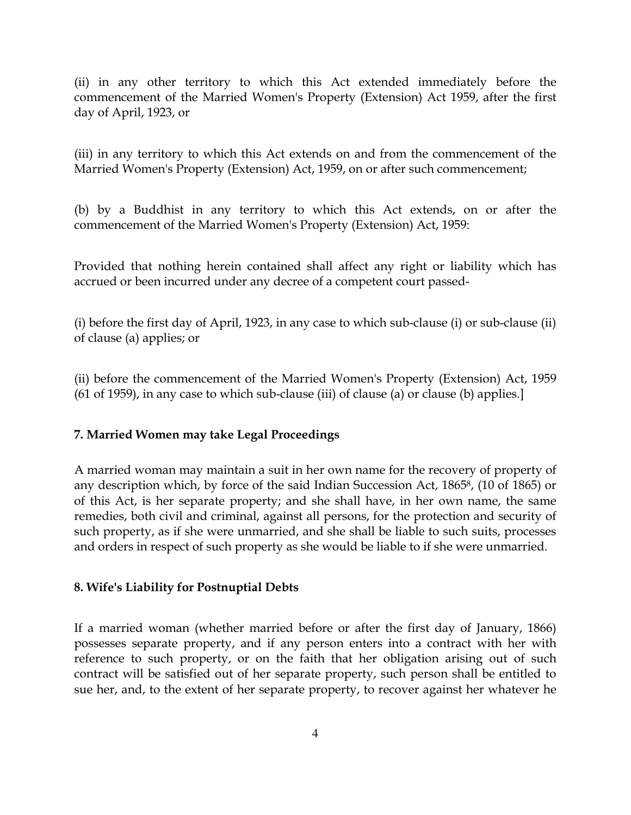(ii) in any other territory to which this Act extended immediately before the commencement of the Married Women's Property (Extension) Act 1959, after the first day of April, 1923, or

(iii) in any territory to which this Act extends on and from the commencement of the Married Women's Property (Extension) Act, 1959, on or after such commencement;

(b) by a Buddhist in any territory to which this Act extends, on or after the commencement of the Married Women's Property (Extension) Act, 1959:

Provided that nothing herein contained shall affect any right or liability which has accrued or been incurred under any decree of a competent court passed-

(i) before the first day of April, 1923, in any case to which sub-clause (i) or sub-clause (ii) of clause (a) applies; or

(ii) before the commencement of the Married Women's Property (Extension) Act, 1959  $(61$  of 1959), in any case to which sub-clause (iii) of clause (a) or clause (b) applies.

### 7. Married Women may take Legal Proceedings

A married woman may maintain a suit in her own name for the recovery of property of any description which, by force of the said Indian Succession Act, 1865<sup>8</sup>, (10 of 1865) or of this Act, is her separate property; and she shall have, in her own name, the same remedies, both civil and criminal, against all persons, for the protection and security of such property, as if she were unmarried, and she shall be liable to such suits, processes and orders in respect of such property as she would be liable to if she were unmarried.

### 8. Wife's Liability for Postnuptial Debts

If a married woman (whether married before or after the first day of January, 1866) possesses separate property, and if any person enters into a contract with her with reference to such property, or on the faith that her obligation arising out of such contract will be satisfied out of her separate property, such person shall be entitled to sue her, and, to the extent of her separate property, to recover against her whatever he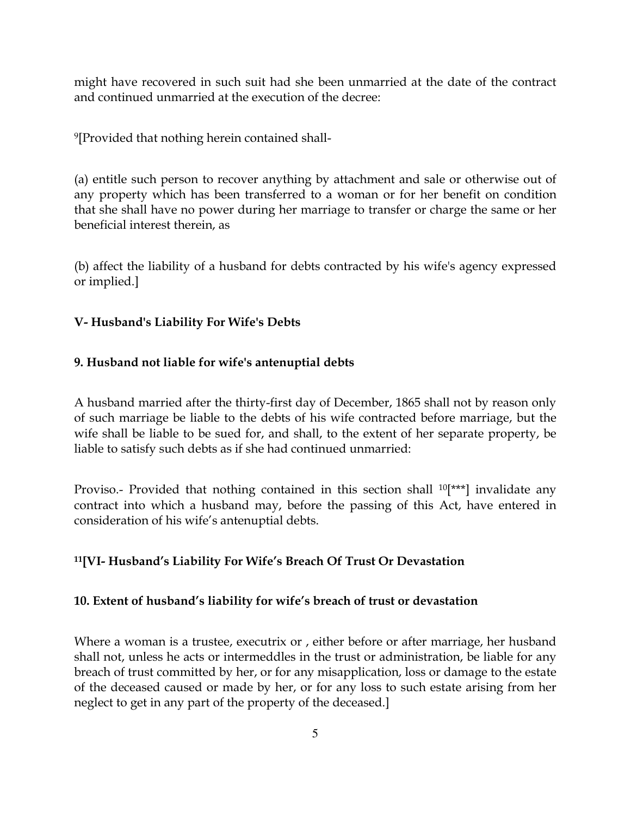might have recovered in such suit had she been unmarried at the date of the contract and continued unmarried at the execution of the decree:

<sup>9</sup>[Provided that nothing herein contained shall-

(a) entitle such person to recover anything by attachment and sale or otherwise out of any property which has been transferred to a woman or for her benefit on condition that she shall have no power during her marriage to transfer or charge the same or her beneficial interest therein, as

(b) affect the liability of a husband for debts contracted by his wife's agency expressed or implied.]

### V- Husband's Liability For Wife's Debts

### 9. Husband not liable for wife's antenuptial debts

A husband married after the thirty-first day of December, 1865 shall not by reason only of such marriage be liable to the debts of his wife contracted before marriage, but the wife shall be liable to be sued for, and shall, to the extent of her separate property, be liable to satisfy such debts as if she had continued unmarried:

Proviso.- Provided that nothing contained in this section shall <sup>10</sup>[\*\*\*] invalidate any contract into which a husband may, before the passing of this Act, have entered in consideration of his wife's antenuptial debts.

### <sup>11</sup>[VI- Husband's Liability For Wife's Breach Of Trust Or Devastation

### 10. Extent of husband's liability for wife's breach of trust or devastation

Where a woman is a trustee, executrix or , either before or after marriage, her husband shall not, unless he acts or intermeddles in the trust or administration, be liable for any breach of trust committed by her, or for any misapplication, loss or damage to the estate of the deceased caused or made by her, or for any loss to such estate arising from her neglect to get in any part of the property of the deceased.]